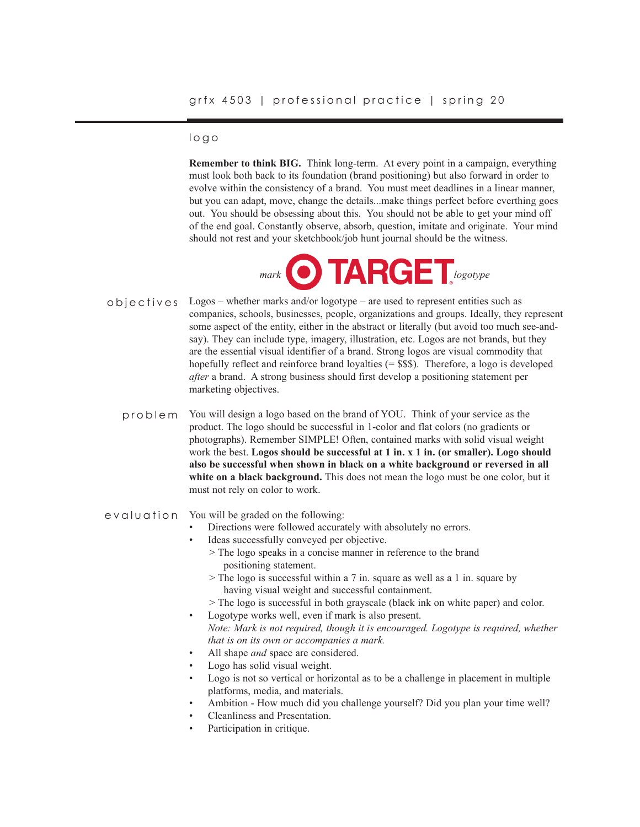## logo

**Remember to think BIG.** Think long-term. At every point in a campaign, everything must look both back to its foundation (brand positioning) but also forward in order to evolve within the consistency of a brand. You must meet deadlines in a linear manner, but you can adapt, move, change the details...make things perfect before everthing goes out. You should be obsessing about this. You should not be able to get your mind off of the end goal. Constantly observe, absorb, question, imitate and originate. Your mind should not rest and your sketchbook/job hunt journal should be the witness.



- Logos whether marks and/or logotype are used to represent entities such as companies, schools, businesses, people, organizations and groups. Ideally, they represent some aspect of the entity, either in the abstract or literally (but avoid too much see-andsay). They can include type, imagery, illustration, etc. Logos are not brands, but they are the essential visual identifier of a brand. Strong logos are visual commodity that hopefully reflect and reinforce brand loyalties  $(=$  \$\$\$). Therefore, a logo is developed *after* a brand. A strong business should first develop a positioning statement per marketing objectives. objectives
	- You will design a logo based on the brand of YOU. Think of your service as the product. The logo should be successful in 1-color and flat colors (no gradients or photographs). Remember SIMPLE! Often, contained marks with solid visual weight work the best. **Logos should be successful at 1 in. x 1 in. (or smaller). Logo should also be successful when shown in black on a white background or reversed in all white on a black background.** This does not mean the logo must be one color, but it must not rely on color to work. problem

### evaluation You will be graded on the following:

- Directions were followed accurately with absolutely no errors.
- Ideas successfully conveyed per objective.
	- > The logo speaks in a concise manner in reference to the brand positioning statement.
	- > The logo is successful within a 7 in. square as well as a 1 in. square by having visual weight and successful containment.
- > The logo is successful in both grayscale (black ink on white paper) and color.
- Logotype works well, even if mark is also present. *Note: Mark is not required, though it is encouraged. Logotype is required, whether that is on its own or accompanies a mark.*
- All shape *and* space are considered.
- Logo has solid visual weight.
- Logo is not so vertical or horizontal as to be a challenge in placement in multiple platforms, media, and materials.
- Ambition How much did you challenge yourself? Did you plan your time well?
- Cleanliness and Presentation.
- Participation in critique.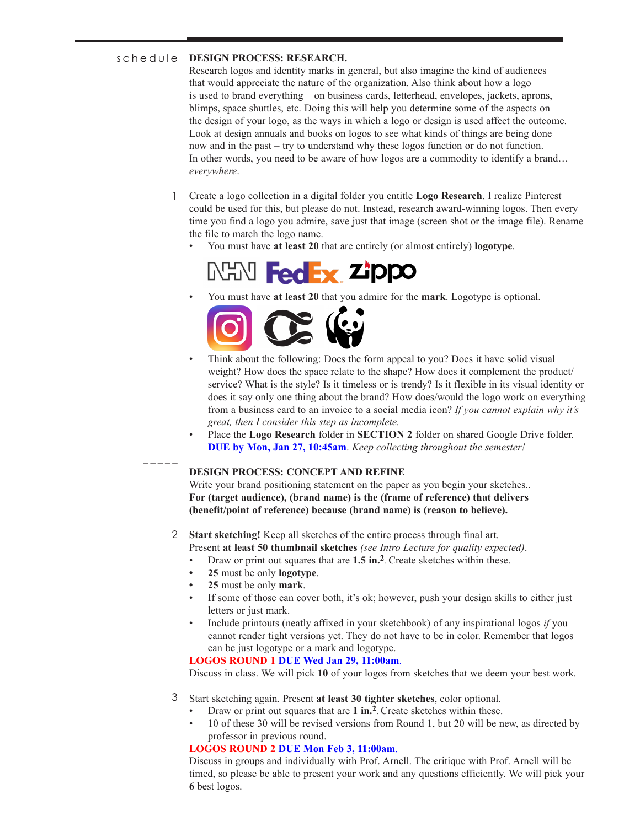#### **DESIGN PROCESS: RESEARCH.** schedule

Research logos and identity marks in general, but also imagine the kind of audiences that would appreciate the nature of the organization. Also think about how a logo is used to brand everything – on business cards, letterhead, envelopes, jackets, aprons, blimps, space shuttles, etc. Doing this will help you determine some of the aspects on the design of your logo, as the ways in which a logo or design is used affect the outcome. Look at design annuals and books on logos to see what kinds of things are being done now and in the past – try to understand why these logos function or do not function. In other words, you need to be aware of how logos are a commodity to identify a brand… *everywhere*.

- Create a logo collection in a digital folder you entitle **Logo Research**. I realize Pinterest could be used for this, but please do not. Instead, research award-winning logos. Then every time you find a logo you admire, save just that image (screen shot or the image file). Rename the file to match the logo name. 1
	- You must have **at least 20** that are entirely (or almost entirely) **logotype**.



• You must have **at least 20** that you admire for the **mark**. Logotype is optional.



- Think about the following: Does the form appeal to you? Does it have solid visual weight? How does the space relate to the shape? How does it complement the product/ service? What is the style? Is it timeless or is trendy? Is it flexible in its visual identity or does it say only one thing about the brand? How does/would the logo work on everything from a business card to an invoice to a social media icon? *If you cannot explain why it's great, then I consider this step as incomplete.*
- Place the **Logo Research** folder in **SECTION 2** folder on shared Google Drive folder. **DUE by Mon, Jan 27, 10:45am**. *Keep collecting throughout the semester!*

### **DESIGN PROCESS: CONCEPT AND REFINE**

Write your brand positioning statement on the paper as you begin your sketches.. **For (target audience), (brand name) is the (frame of reference) that delivers (benefit/point of reference) because (brand name) is (reason to believe).** 

# **Start sketching!** Keep all sketches of the entire process through final art. 2

- Present **at least 50 thumbnail sketches** *(see Intro Lecture for quality expected)*.
- Draw or print out squares that are **1.5 in.2**. Create sketches within these.
- **• 25** must be only **logotype**.
- **• 25** must be only **mark**.

\_\_\_\_\_

- If some of those can cover both, it's ok; however, push your design skills to either just letters or just mark.
- Include printouts (neatly affixed in your sketchbook) of any inspirational logos *if* you cannot render tight versions yet. They do not have to be in color. Remember that logos can be just logotype or a mark and logotype.

### **LOGOS ROUND 1 DUE Wed Jan 29, 11:00am**.

Discuss in class. We will pick **10** of your logos from sketches that we deem your best work*.*

### Start sketching again. Present **at least 30 tighter sketches**, color optional. 3

- Draw or print out squares that are **1 in.2**. Create sketches within these.
- 10 of these 30 will be revised versions from Round 1, but 20 will be new, as directed by professor in previous round.

### **LOGOS ROUND 2 DUE Mon Feb 3, 11:00am**.

Discuss in groups and individually with Prof. Arnell. The critique with Prof. Arnell will be timed, so please be able to present your work and any questions efficiently. We will pick your **6** best logos.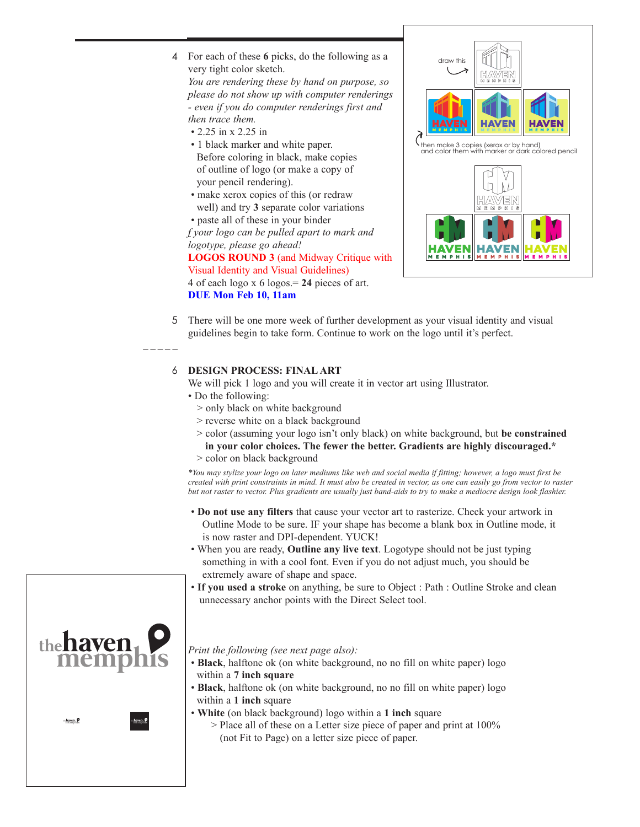For each of these **6** picks, do the following as a 4 very tight color sketch.

*You are rendering these by hand on purpose, so please do not show up with computer renderings - even if you do computer renderings first and then trace them.*

- 2.25 in x 2.25 in
- 1 black marker and white paper. Before coloring in black, make copies of outline of logo (or make a copy of your pencil rendering).
- make xerox copies of this (or redraw well) and try **3** separate color variations

 • paste all of these in your binder *f your logo can be pulled apart to mark and logotype, please go ahead!*  **LOGOS ROUND 3** (and Midway Critique with Visual Identity and Visual Guidelines) 4 of each logo x 6 logos.= **24** pieces of art. **DUE Mon Feb 10, 11am**



5 There will be one more week of further development as your visual identity and visual guidelines begin to take form. Continue to work on the logo until it's perfect.

## **DESIGN PROCESS: FINAL ART**  6

We will pick 1 logo and you will create it in vector art using Illustrator.

• Do the following:

 $\overline{\phantom{a}}$ 

- > only black on white background
- > reverse white on a black background
- > color (assuming your logo isn't only black) on white background, but **be constrained in your color choices. The fewer the better. Gradients are highly discouraged.\***
- > color on black background

*\*You may stylize your logo on later mediums like web and social media if fitting; however, a logo must first be created with print constraints in mind. It must also be created in vector, as one can easily go from vector to raster but not raster to vector. Plus gradients are usually just band-aids to try to make a mediocre design look flashier.*

- **Do not use any filters** that cause your vector art to rasterize. Check your artwork in Outline Mode to be sure. IF your shape has become a blank box in Outline mode, it is now raster and DPI-dependent. YUCK!
- When you are ready, **Outline any live text**. Logotype should not be just typing something in with a cool font. Even if you do not adjust much, you should be extremely aware of shape and space.
- **If you used a stroke** on anything, be sure to Object : Path : Outline Stroke and clean unnecessary anchor points with the Direct Select tool.



 $h$ ayen,  $\rho$ 

*Print the following (see next page also):* 

- **Black**, halftone ok (on white background, no no fill on white paper) logo within a **7 inch square**
- **Black**, halftone ok (on white background, no no fill on white paper) logo within a **1 inch** square
- **White** (on black background) logo within a **1 inch** square
	- > Place all of these on a Letter size piece of paper and print at 100% (not Fit to Page) on a letter size piece of paper.